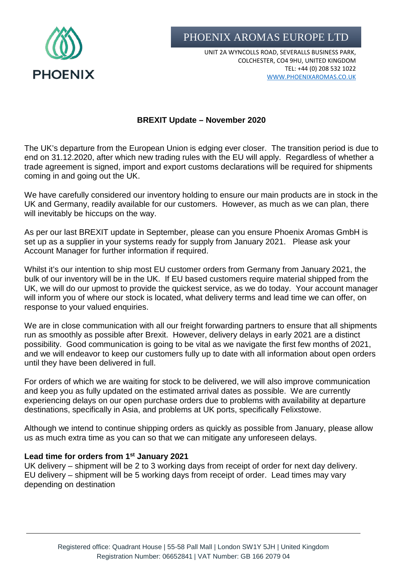

PHOENIX AROMAS EUROPE LTD

UNIT 2A WYNCOLLS ROAD, SEVERALLS BUSINESS PARK, COLCHESTER, CO4 9HU, UNITED KINGDOM TEL: +44 (0) 208 532 1022 [WWW.PHOENIXAROMAS.CO.UK](http://www.phoenixaromas.co.uk/)

## **BREXIT Update – November 2020**

The UK's departure from the European Union is edging ever closer. The transition period is due to end on 31.12.2020, after which new trading rules with the EU will apply. Regardless of whether a trade agreement is signed, import and export customs declarations will be required for shipments coming in and going out the UK.

We have carefully considered our inventory holding to ensure our main products are in stock in the UK and Germany, readily available for our customers. However, as much as we can plan, there will inevitably be hiccups on the way.

As per our last BREXIT update in September, please can you ensure Phoenix Aromas GmbH is set up as a supplier in your systems ready for supply from January 2021. Please ask your Account Manager for further information if required.

Whilst it's our intention to ship most EU customer orders from Germany from January 2021, the bulk of our inventory will be in the UK. If EU based customers require material shipped from the UK, we will do our upmost to provide the quickest service, as we do today. Your account manager will inform you of where our stock is located, what delivery terms and lead time we can offer, on response to your valued enquiries.

We are in close communication with all our freight forwarding partners to ensure that all shipments run as smoothly as possible after Brexit. However, delivery delays in early 2021 are a distinct possibility. Good communication is going to be vital as we navigate the first few months of 2021, and we will endeavor to keep our customers fully up to date with all information about open orders until they have been delivered in full.

For orders of which we are waiting for stock to be delivered, we will also improve communication and keep you as fully updated on the estimated arrival dates as possible. We are currently experiencing delays on our open purchase orders due to problems with availability at departure destinations, specifically in Asia, and problems at UK ports, specifically Felixstowe.

Although we intend to continue shipping orders as quickly as possible from January, please allow us as much extra time as you can so that we can mitigate any unforeseen delays.

## **Lead time for orders from 1st January 2021**

UK delivery – shipment will be 2 to 3 working days from receipt of order for next day delivery. EU delivery – shipment will be 5 working days from receipt of order. Lead times may vary depending on destination